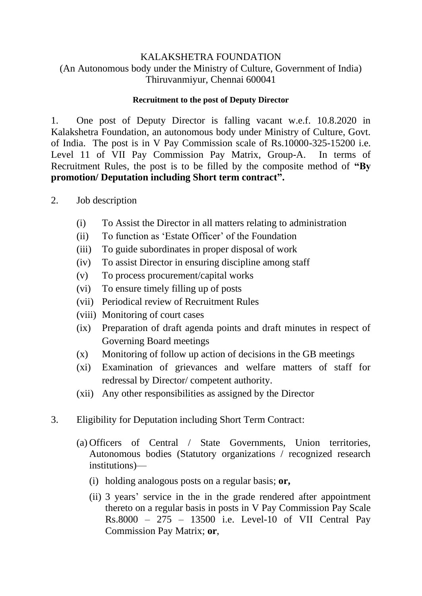## KALAKSHETRA FOUNDATION (An Autonomous body under the Ministry of Culture, Government of India) Thiruvanmiyur, Chennai 600041

#### **Recruitment to the post of Deputy Director**

1. One post of Deputy Director is falling vacant w.e.f. 10.8.2020 in Kalakshetra Foundation, an autonomous body under Ministry of Culture, Govt. of India. The post is in V Pay Commission scale of Rs.10000-325-15200 i.e. Level 11 of VII Pay Commission Pay Matrix, Group-A. In terms of Recruitment Rules, the post is to be filled by the composite method of **"By promotion/ Deputation including Short term contract".**

- 2. Job description
	- (i) To Assist the Director in all matters relating to administration
	- (ii) To function as 'Estate Officer' of the Foundation
	- (iii) To guide subordinates in proper disposal of work
	- (iv) To assist Director in ensuring discipline among staff
	- (v) To process procurement/capital works
	- (vi) To ensure timely filling up of posts
	- (vii) Periodical review of Recruitment Rules
	- (viii) Monitoring of court cases
	- (ix) Preparation of draft agenda points and draft minutes in respect of Governing Board meetings
	- (x) Monitoring of follow up action of decisions in the GB meetings
	- (xi) Examination of grievances and welfare matters of staff for redressal by Director/ competent authority.
	- (xii) Any other responsibilities as assigned by the Director
- 3. Eligibility for Deputation including Short Term Contract:
	- (a) Officers of Central / State Governments, Union territories, Autonomous bodies (Statutory organizations / recognized research institutions)—
		- (i) holding analogous posts on a regular basis; **or,**
		- (ii) 3 years' service in the in the grade rendered after appointment thereto on a regular basis in posts in V Pay Commission Pay Scale Rs.8000 – 275 – 13500 i.e. Level-10 of VII Central Pay Commission Pay Matrix; **or**,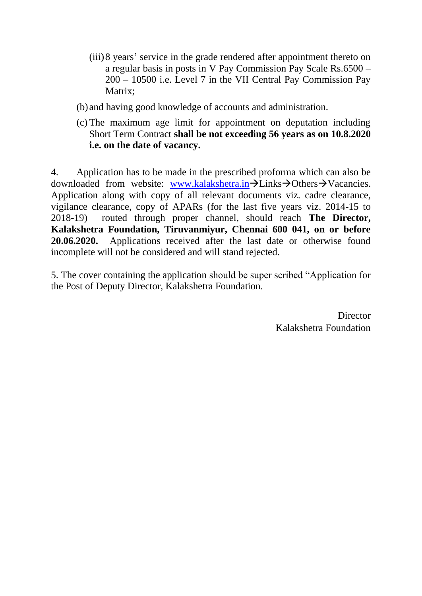- (iii)8 years' service in the grade rendered after appointment thereto on a regular basis in posts in V Pay Commission Pay Scale Rs.6500 – 200 – 10500 i.e. Level 7 in the VII Central Pay Commission Pay Matrix:
- (b) and having good knowledge of accounts and administration.
- (c) The maximum age limit for appointment on deputation including Short Term Contract **shall be not exceeding 56 years as on 10.8.2020 i.e. on the date of vacancy.**

4. Application has to be made in the prescribed proforma which can also be downloaded from website: [www.kalakshetra.in](http://www.kalakshetra.in/)→Links→Others→Vacancies. Application along with copy of all relevant documents viz. cadre clearance, vigilance clearance, copy of APARs (for the last five years viz. 2014-15 to 2018-19) routed through proper channel, should reach **The Director, Kalakshetra Foundation, Tiruvanmiyur, Chennai 600 041, on or before 20.06.2020.** Applications received after the last date or otherwise found incomplete will not be considered and will stand rejected.

5. The cover containing the application should be super scribed "Application for the Post of Deputy Director, Kalakshetra Foundation.

> **Director** Kalakshetra Foundation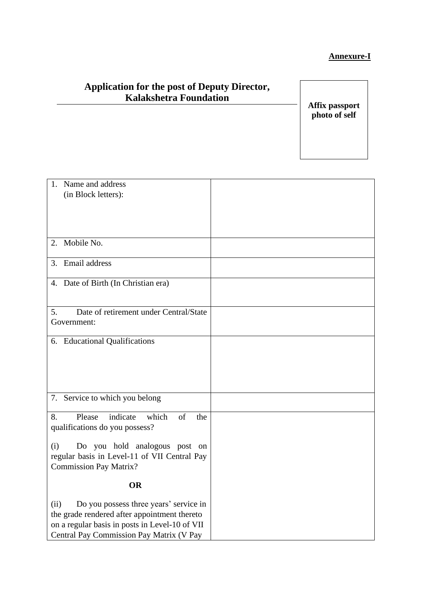## **Annexure-I**

# **Application for the post of Deputy Director, Kalakshetra Foundation**

**Affix passport photo of self**

| 1. Name and address                            |  |
|------------------------------------------------|--|
| (in Block letters):                            |  |
|                                                |  |
|                                                |  |
|                                                |  |
|                                                |  |
| Mobile No.<br>2.                               |  |
|                                                |  |
| 3. Email address                               |  |
| 4. Date of Birth (In Christian era)            |  |
|                                                |  |
|                                                |  |
| Date of retirement under Central/State<br>5.   |  |
| Government:                                    |  |
|                                                |  |
| 6. Educational Qualifications                  |  |
|                                                |  |
|                                                |  |
|                                                |  |
|                                                |  |
| 7. Service to which you belong                 |  |
|                                                |  |
| Please<br>indicate<br>which<br>of<br>8.<br>the |  |
| qualifications do you possess?                 |  |
|                                                |  |
| Do you hold analogous post on<br>(i)           |  |
| regular basis in Level-11 of VII Central Pay   |  |
| <b>Commission Pay Matrix?</b>                  |  |
| <b>OR</b>                                      |  |
|                                                |  |
| Do you possess three years' service in<br>(ii) |  |
| the grade rendered after appointment thereto   |  |
| on a regular basis in posts in Level-10 of VII |  |
| Central Pay Commission Pay Matrix (V Pay       |  |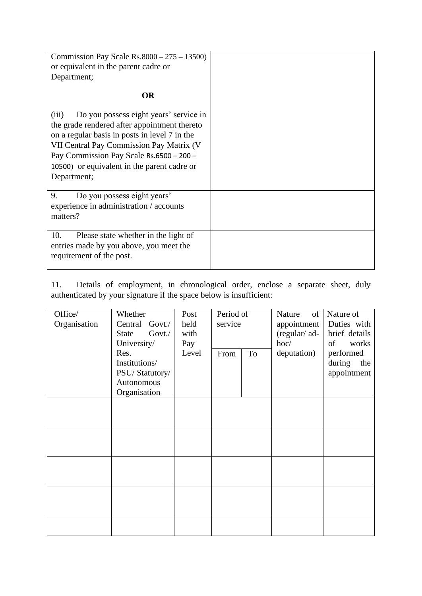| Commission Pay Scale Rs.8000 – $275 - 13500$ )<br>or equivalent in the parent cadre or<br>Department;                                                                                                                                                                                                  |  |
|--------------------------------------------------------------------------------------------------------------------------------------------------------------------------------------------------------------------------------------------------------------------------------------------------------|--|
| <b>OR</b>                                                                                                                                                                                                                                                                                              |  |
| Do you possess eight years' service in<br>(iii)<br>the grade rendered after appointment thereto<br>on a regular basis in posts in level 7 in the<br>VII Central Pay Commission Pay Matrix (V<br>Pay Commission Pay Scale Rs.6500 - 200 -<br>10500) or equivalent in the parent cadre or<br>Department; |  |
| Do you possess eight years'<br>9.<br>experience in administration / accounts<br>matters?                                                                                                                                                                                                               |  |
| 10.<br>Please state whether in the light of<br>entries made by you above, you meet the<br>requirement of the post.                                                                                                                                                                                     |  |

11. Details of employment, in chronological order, enclose a separate sheet, duly authenticated by your signature if the space below is insufficient:

| Office/<br>Organisation | Whether<br>Central Govt./<br>$Govt$ .<br>State<br>University/         | Post<br>held<br>with<br>Pay | Period of<br>service | of<br>Nature<br>appointment<br>(regular/ ad-<br>hoc/ | Nature of<br>Duties with<br>brief details<br>of<br>works |
|-------------------------|-----------------------------------------------------------------------|-----------------------------|----------------------|------------------------------------------------------|----------------------------------------------------------|
|                         | Res.<br>Institutions/<br>PSU/Statutory/<br>Autonomous<br>Organisation | Level                       | To<br>From           | deputation)                                          | performed<br>during<br>the<br>appointment                |
|                         |                                                                       |                             |                      |                                                      |                                                          |
|                         |                                                                       |                             |                      |                                                      |                                                          |
|                         |                                                                       |                             |                      |                                                      |                                                          |
|                         |                                                                       |                             |                      |                                                      |                                                          |
|                         |                                                                       |                             |                      |                                                      |                                                          |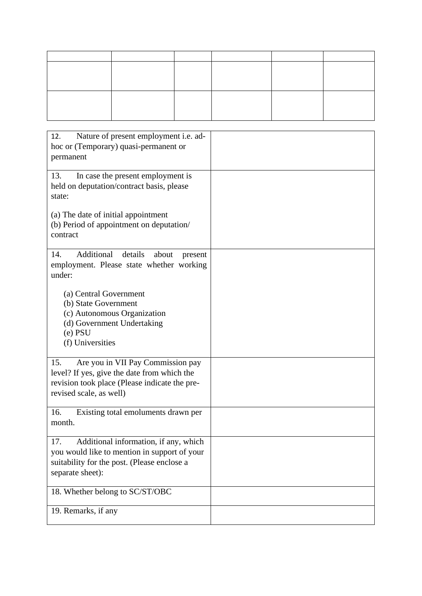| Nature of present employment i.e. ad-<br>12.<br>hoc or (Temporary) quasi-permanent or<br>permanent                                                                  |  |
|---------------------------------------------------------------------------------------------------------------------------------------------------------------------|--|
| 13.<br>In case the present employment is<br>held on deputation/contract basis, please<br>state:                                                                     |  |
| (a) The date of initial appointment<br>(b) Period of appointment on deputation/<br>contract                                                                         |  |
| Additional<br>14.<br>details<br>about<br>present<br>employment. Please state whether working<br>under:                                                              |  |
| (a) Central Government<br>(b) State Government<br>(c) Autonomous Organization<br>(d) Government Undertaking<br>$(e)$ PSU<br>(f) Universities                        |  |
| 15.<br>Are you in VII Pay Commission pay<br>level? If yes, give the date from which the<br>revision took place (Please indicate the pre-<br>revised scale, as well) |  |
| 16.<br>Existing total emoluments drawn per<br>month.                                                                                                                |  |
| 17.<br>Additional information, if any, which<br>you would like to mention in support of your<br>suitability for the post. (Please enclose a<br>separate sheet):     |  |
| 18. Whether belong to SC/ST/OBC                                                                                                                                     |  |
| 19. Remarks, if any                                                                                                                                                 |  |